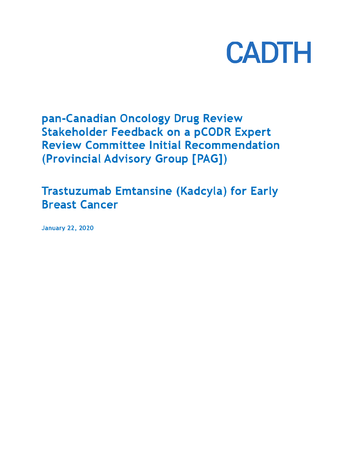

pan-Canadian Oncology Drug Review **Stakeholder Feedback on a pCODR Expert Review Committee Initial Recommendation** (Provincial Advisory Group [PAG])

**Trastuzumab Emtansine (Kadcyla) for Early Breast Cancer** 

**January 22, 2020**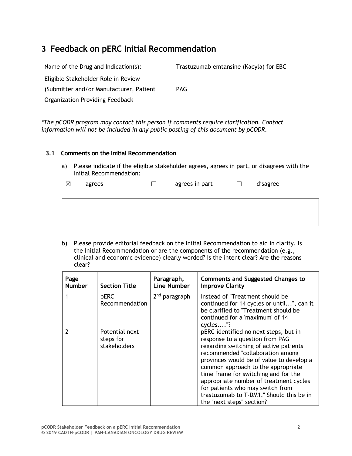# **3 Feedback on pERC Initial Recommendation**

| Name of the Drug and Indication(s):     | Trastuzumab emtansine (Kacyla) for EBC |
|-----------------------------------------|----------------------------------------|
| Eligible Stakeholder Role in Review     |                                        |
| (Submitter and/or Manufacturer, Patient | <b>PAG</b>                             |
| Organization Providing Feedback         |                                        |
|                                         |                                        |

*\*The pCODR program may contact this person if comments require clarification. Contact information will not be included in any public posting of this document by pCODR.*

#### **3.1 Comments on the Initial Recommendation**

a) Please indicate if the eligible stakeholder agrees, agrees in part, or disagrees with the Initial Recommendation:

| $\boxtimes$ | agrees |  | agrees in part |  | disagree |
|-------------|--------|--|----------------|--|----------|
|-------------|--------|--|----------------|--|----------|

b) Please provide editorial feedback on the Initial Recommendation to aid in clarity. Is the Initial Recommendation or are the components of the recommendation (e.g., clinical and economic evidence) clearly worded? Is the intent clear? Are the reasons clear?

| Page<br><b>Number</b> | <b>Section Title</b>                        | Paragraph,<br><b>Line Number</b> | <b>Comments and Suggested Changes to</b><br><b>Improve Clarity</b>                                                                                                                                                                                                                                                                                                                                                                      |
|-----------------------|---------------------------------------------|----------------------------------|-----------------------------------------------------------------------------------------------------------------------------------------------------------------------------------------------------------------------------------------------------------------------------------------------------------------------------------------------------------------------------------------------------------------------------------------|
| 1                     | <b>pERC</b><br>Recommendation               | $2nd$ paragraph                  | Instead of "Treatment should be<br>continued for 14 cycles or until", can it<br>be clarified to "Treatment should be<br>continued for a 'maximum' of 14<br>cycles"?                                                                                                                                                                                                                                                                     |
| $\mathcal{L}$         | Potential next<br>steps for<br>stakeholders |                                  | pERC identified no next steps, but in<br>response to a question from PAG<br>regarding switching of active patients<br>recommended "collaboration among<br>provinces would be of value to develop a<br>common approach to the appropriate<br>time frame for switching and for the<br>appropriate number of treatment cycles<br>for patients who may switch from<br>trastuzumab to T-DM1." Should this be in<br>the "next steps" section? |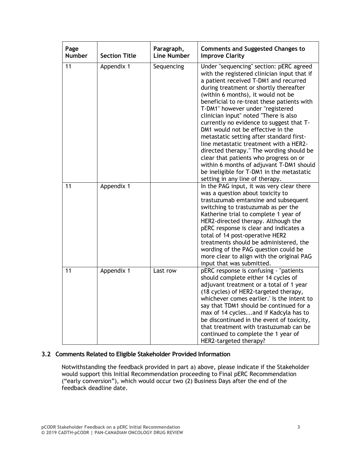| Page<br><b>Number</b> | <b>Section Title</b> | Paragraph,<br><b>Line Number</b> | <b>Comments and Suggested Changes to</b><br><b>Improve Clarity</b>                                                                                                                                                                                                                                                                                                                                                                                                                                                                                                                                                                                                                                                                  |
|-----------------------|----------------------|----------------------------------|-------------------------------------------------------------------------------------------------------------------------------------------------------------------------------------------------------------------------------------------------------------------------------------------------------------------------------------------------------------------------------------------------------------------------------------------------------------------------------------------------------------------------------------------------------------------------------------------------------------------------------------------------------------------------------------------------------------------------------------|
| 11                    | Appendix 1           | Sequencing                       | Under "sequencing" section: pERC agreed<br>with the registered clinician input that if<br>a patient received T-DM1 and recurred<br>during treatment or shortly thereafter<br>(within 6 months), it would not be<br>beneficial to re-treat these patients with<br>T-DM1" however under "registered<br>clinician input" noted "There is also<br>currently no evidence to suggest that T-<br>DM1 would not be effective in the<br>metastatic setting after standard first-<br>line metastatic treatment with a HER2-<br>directed therapy." The wording should be<br>clear that patients who progress on or<br>within 6 months of adjuvant T-DM1 should<br>be ineligible for T-DM1 in the metastatic<br>setting in any line of therapy. |
| 11                    | Appendix 1           |                                  | In the PAG input, it was very clear there<br>was a question about toxicity to<br>trastuzumab emtansine and subsequent<br>switching to trastuzumab as per the<br>Katherine trial to complete 1 year of<br>HER2-directed therapy. Although the<br>pERC response is clear and indicates a<br>total of 14 post-operative HER2<br>treatments should be administered, the<br>wording of the PAG question could be<br>more clear to align with the original PAG<br>input that was submitted.                                                                                                                                                                                                                                               |
| 11                    | Appendix 1           | Last row                         | pERC response is confusing - "patients<br>should complete either 14 cycles of<br>adjuvant treatment or a total of 1 year<br>(18 cycles) of HER2-targeted therapy,<br>whichever comes earlier.' Is the intent to<br>say that TDM1 should be continued for a<br>max of 14 cyclesand if Kadcyla has to<br>be discontinued in the event of toxicity,<br>that treatment with trastuzumab can be<br>continued to complete the 1 year of<br>HER2-targeted therapy?                                                                                                                                                                                                                                                                         |

### **3.2 Comments Related to Eligible Stakeholder Provided Information**

Notwithstanding the feedback provided in part a) above, please indicate if the Stakeholder would support this Initial Recommendation proceeding to Final pERC Recommendation ("early conversion"), which would occur two (2) Business Days after the end of the feedback deadline date.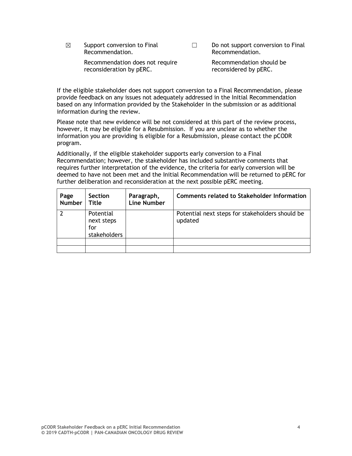$\boxtimes$  Support conversion to Final Recommendation.

☐ Do not support conversion to Final Recommendation.

Recommendation does not require reconsideration by pERC.

Recommendation should be reconsidered by pERC.

If the eligible stakeholder does not support conversion to a Final Recommendation, please provide feedback on any issues not adequately addressed in the Initial Recommendation based on any information provided by the Stakeholder in the submission or as additional information during the review.

Please note that new evidence will be not considered at this part of the review process, however, it may be eligible for a Resubmission. If you are unclear as to whether the information you are providing is eligible for a Resubmission, please contact the pCODR program.

Additionally, if the eligible stakeholder supports early conversion to a Final Recommendation; however, the stakeholder has included substantive comments that requires further interpretation of the evidence, the criteria for early conversion will be deemed to have not been met and the Initial Recommendation will be returned to pERC for further deliberation and reconsideration at the next possible pERC meeting.

| Page<br><b>Number</b> | Section<br>Title                               | Paragraph,<br><b>Line Number</b> | <b>Comments related to Stakeholder Information</b>         |
|-----------------------|------------------------------------------------|----------------------------------|------------------------------------------------------------|
|                       | Potential<br>next steps<br>for<br>stakeholders |                                  | Potential next steps for stakeholders should be<br>updated |
|                       |                                                |                                  |                                                            |
|                       |                                                |                                  |                                                            |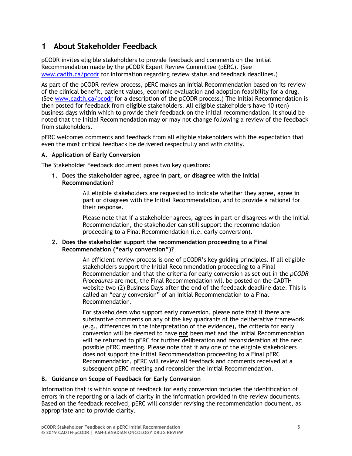## **1 About Stakeholder Feedback**

pCODR invites eligible stakeholders to provide feedback and comments on the Initial Recommendation made by the pCODR Expert Review Committee (pERC). (See www.cadth.ca/pcodr for information regarding review status and feedback deadlines.)

As part of the pCODR review process, pERC makes an Initial Recommendation based on its review of the clinical benefit, patient values, economic evaluation and adoption feasibility for a drug. (See www.cadth.ca/pcodr for a description of the pCODR process.) The Initial Recommendation is then posted for feedback from eligible stakeholders. All eligible stakeholders have 10 (ten) business days within which to provide their feedback on the initial recommendation. It should be noted that the Initial Recommendation may or may not change following a review of the feedback from stakeholders.

pERC welcomes comments and feedback from all eligible stakeholders with the expectation that even the most critical feedback be delivered respectfully and with civility.

#### **A. Application of Early Conversion**

The Stakeholder Feedback document poses two key questions:

**1. Does the stakeholder agree, agree in part, or disagree with the Initial Recommendation?**

> All eligible stakeholders are requested to indicate whether they agree, agree in part or disagrees with the Initial Recommendation, and to provide a rational for their response.

Please note that if a stakeholder agrees, agrees in part or disagrees with the Initial Recommendation, the stakeholder can still support the recommendation proceeding to a Final Recommendation (i.e. early conversion).

#### **2. Does the stakeholder support the recommendation proceeding to a Final Recommendation ("early conversion")?**

An efficient review process is one of pCODR's key guiding principles. If all eligible stakeholders support the Initial Recommendation proceeding to a Final Recommendation and that the criteria for early conversion as set out in the *pCODR Procedures* are met, the Final Recommendation will be posted on the CADTH website two (2) Business Days after the end of the feedback deadline date. This is called an "early conversion" of an Initial Recommendation to a Final Recommendation.

For stakeholders who support early conversion, please note that if there are substantive comments on any of the key quadrants of the deliberative framework (e.g., differences in the interpretation of the evidence), the criteria for early conversion will be deemed to have **not** been met and the Initial Recommendation will be returned to pERC for further deliberation and reconsideration at the next possible pERC meeting. Please note that if any one of the eligible stakeholders does not support the Initial Recommendation proceeding to a Final pERC Recommendation, pERC will review all feedback and comments received at a subsequent pERC meeting and reconsider the Initial Recommendation.

#### **B. Guidance on Scope of Feedback for Early Conversion**

Information that is within scope of feedback for early conversion includes the identification of errors in the reporting or a lack of clarity in the information provided in the review documents. Based on the feedback received, pERC will consider revising the recommendation document, as appropriate and to provide clarity.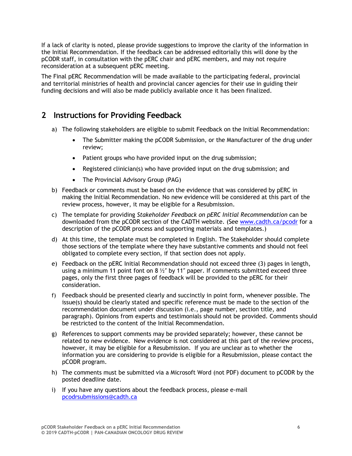If a lack of clarity is noted, please provide suggestions to improve the clarity of the information in the Initial Recommendation. If the feedback can be addressed editorially this will done by the pCODR staff, in consultation with the pERC chair and pERC members, and may not require reconsideration at a subsequent pERC meeting.

The Final pERC Recommendation will be made available to the participating federal, provincial and territorial ministries of health and provincial cancer agencies for their use in guiding their funding decisions and will also be made publicly available once it has been finalized.

### **2 Instructions for Providing Feedback**

- a) The following stakeholders are eligible to submit Feedback on the Initial Recommendation:
	- The Submitter making the pCODR Submission, or the Manufacturer of the drug under review;
	- Patient groups who have provided input on the drug submission;
	- Registered clinician(s) who have provided input on the drug submission; and
	- The Provincial Advisory Group (PAG)
- b) Feedback or comments must be based on the evidence that was considered by pERC in making the Initial Recommendation. No new evidence will be considered at this part of the review process, however, it may be eligible for a Resubmission.
- c) The template for providing *Stakeholder Feedback on pERC Initial Recommendation* can be downloaded from the pCODR section of the CADTH website. (See www.cadth.ca/pcodr for a description of the pCODR process and supporting materials and templates.)
- d) At this time, the template must be completed in English. The Stakeholder should complete those sections of the template where they have substantive comments and should not feel obligated to complete every section, if that section does not apply.
- e) Feedback on the pERC Initial Recommendation should not exceed three (3) pages in length, using a minimum 11 point font on 8  $\frac{1}{2}$ " by 11" paper. If comments submitted exceed three pages, only the first three pages of feedback will be provided to the pERC for their consideration.
- f) Feedback should be presented clearly and succinctly in point form, whenever possible. The issue(s) should be clearly stated and specific reference must be made to the section of the recommendation document under discussion (i.e., page number, section title, and paragraph). Opinions from experts and testimonials should not be provided. Comments should be restricted to the content of the Initial Recommendation.
- g) References to support comments may be provided separately; however, these cannot be related to new evidence. New evidence is not considered at this part of the review process, however, it may be eligible for a Resubmission. If you are unclear as to whether the information you are considering to provide is eligible for a Resubmission, please contact the pCODR program.
- h) The comments must be submitted via a Microsoft Word (not PDF) document to pCODR by the posted deadline date.
- i) If you have any questions about the feedback process, please e-mail pcodrsubmissions@cadth.ca